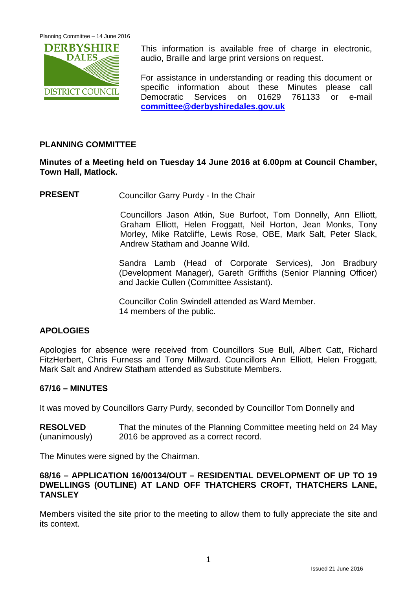

This information is available free of charge in electronic, audio, Braille and large print versions on request.

For assistance in understanding or reading this document or specific information about these Minutes please call Democratic Services on 01629 761133 or e-mail **[committee@derbyshiredales.gov.uk](mailto:committee@derbyshiredales.gov.uk)**

## **PLANNING COMMITTEE**

## **Minutes of a Meeting held on Tuesday 14 June 2016 at 6.00pm at Council Chamber, Town Hall, Matlock.**

**PRESENT** Councillor Garry Purdy - In the Chair

Councillors Jason Atkin, Sue Burfoot, Tom Donnelly, Ann Elliott, Graham Elliott, Helen Froggatt, Neil Horton, Jean Monks, Tony Morley, Mike Ratcliffe, Lewis Rose, OBE, Mark Salt, Peter Slack, Andrew Statham and Joanne Wild.

Sandra Lamb (Head of Corporate Services), Jon Bradbury (Development Manager), Gareth Griffiths (Senior Planning Officer) and Jackie Cullen (Committee Assistant).

Councillor Colin Swindell attended as Ward Member. 14 members of the public.

### **APOLOGIES**

Apologies for absence were received from Councillors Sue Bull, Albert Catt, Richard FitzHerbert, Chris Furness and Tony Millward. Councillors Ann Elliott, Helen Froggatt, Mark Salt and Andrew Statham attended as Substitute Members.

### **67/16 – MINUTES**

It was moved by Councillors Garry Purdy, seconded by Councillor Tom Donnelly and

**RESOLVED** (unanimously) That the minutes of the Planning Committee meeting held on 24 May 2016 be approved as a correct record.

The Minutes were signed by the Chairman.

## **68/16 – APPLICATION 16/00134/OUT – RESIDENTIAL DEVELOPMENT OF UP TO 19 DWELLINGS (OUTLINE) AT LAND OFF THATCHERS CROFT, THATCHERS LANE, TANSLEY**

Members visited the site prior to the meeting to allow them to fully appreciate the site and its context.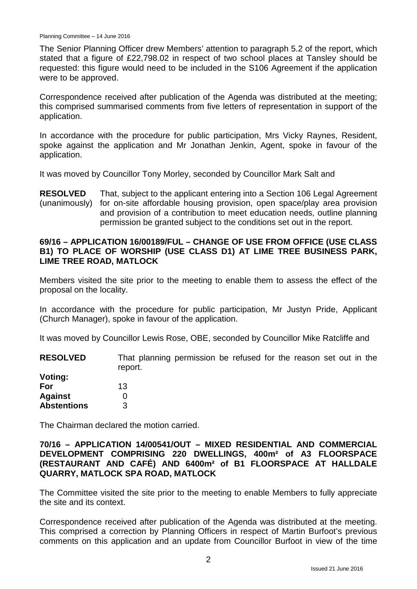The Senior Planning Officer drew Members' attention to paragraph 5.2 of the report, which stated that a figure of £22,798.02 in respect of two school places at Tansley should be requested: this figure would need to be included in the S106 Agreement if the application were to be approved.

Correspondence received after publication of the Agenda was distributed at the meeting; this comprised summarised comments from five letters of representation in support of the application.

In accordance with the procedure for public participation, Mrs Vicky Raynes, Resident, spoke against the application and Mr Jonathan Jenkin, Agent, spoke in favour of the application.

It was moved by Councillor Tony Morley, seconded by Councillor Mark Salt and

**RESOLVED** (unanimously) That, subject to the applicant entering into a Section 106 Legal Agreement for on-site affordable housing provision, open space/play area provision and provision of a contribution to meet education needs, outline planning permission be granted subject to the conditions set out in the report.

#### **69/16 – APPLICATION 16/00189/FUL – CHANGE OF USE FROM OFFICE (USE CLASS B1) TO PLACE OF WORSHIP (USE CLASS D1) AT LIME TREE BUSINESS PARK, LIME TREE ROAD, MATLOCK**

Members visited the site prior to the meeting to enable them to assess the effect of the proposal on the locality.

In accordance with the procedure for public participation, Mr Justyn Pride, Applicant (Church Manager), spoke in favour of the application.

It was moved by Councillor Lewis Rose, OBE, seconded by Councillor Mike Ratcliffe and

**RESOLVED Voting:** That planning permission be refused for the reason set out in the report.

| voung.             |    |
|--------------------|----|
| For                | 13 |
| <b>Against</b>     | 0  |
| <b>Abstentions</b> | 3  |

The Chairman declared the motion carried.

**70/16 – APPLICATION 14/00541/OUT – MIXED RESIDENTIAL AND COMMERCIAL DEVELOPMENT COMPRISING 220 DWELLINGS, 400m² of A3 FLOORSPACE (RESTAURANT AND CAFÉ) AND 6400m² of B1 FLOORSPACE AT HALLDALE QUARRY, MATLOCK SPA ROAD, MATLOCK**

The Committee visited the site prior to the meeting to enable Members to fully appreciate the site and its context.

Correspondence received after publication of the Agenda was distributed at the meeting. This comprised a correction by Planning Officers in respect of Martin Burfoot's previous comments on this application and an update from Councillor Burfoot in view of the time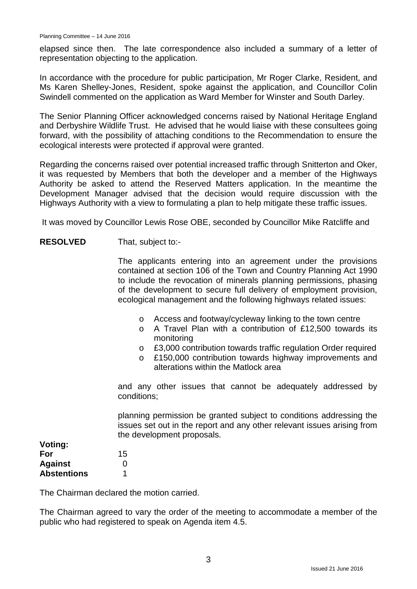elapsed since then. The late correspondence also included a summary of a letter of representation objecting to the application.

In accordance with the procedure for public participation, Mr Roger Clarke, Resident, and Ms Karen Shelley-Jones, Resident, spoke against the application, and Councillor Colin Swindell commented on the application as Ward Member for Winster and South Darley.

The Senior Planning Officer acknowledged concerns raised by National Heritage England and Derbyshire Wildlife Trust. He advised that he would liaise with these consultees going forward, with the possibility of attaching conditions to the Recommendation to ensure the ecological interests were protected if approval were granted.

Regarding the concerns raised over potential increased traffic through Snitterton and Oker, it was requested by Members that both the developer and a member of the Highways Authority be asked to attend the Reserved Matters application. In the meantime the Development Manager advised that the decision would require discussion with the Highways Authority with a view to formulating a plan to help mitigate these traffic issues.

It was moved by Councillor Lewis Rose OBE, seconded by Councillor Mike Ratcliffe and

#### **RESOLVED** That, subject to:-

The applicants entering into an agreement under the provisions contained at section 106 of the Town and Country Planning Act 1990 to include the revocation of minerals planning permissions, phasing of the development to secure full delivery of employment provision, ecological management and the following highways related issues:

- o Access and footway/cycleway linking to the town centre
- o A Travel Plan with a contribution of £12,500 towards its monitoring
- £3,000 contribution towards traffic regulation Order required<br>○ £150,000 contribution towards highway improvements and
- £150,000 contribution towards highway improvements and alterations within the Matlock area

and any other issues that cannot be adequately addressed by conditions;

planning permission be granted subject to conditions addressing the issues set out in the report and any other relevant issues arising from the development proposals.

| voung.             |    |
|--------------------|----|
| For                | 15 |
| <b>Against</b>     | 0  |
| <b>Abstentions</b> |    |

**Voting:**

The Chairman declared the motion carried.

The Chairman agreed to vary the order of the meeting to accommodate a member of the public who had registered to speak on Agenda item 4.5.